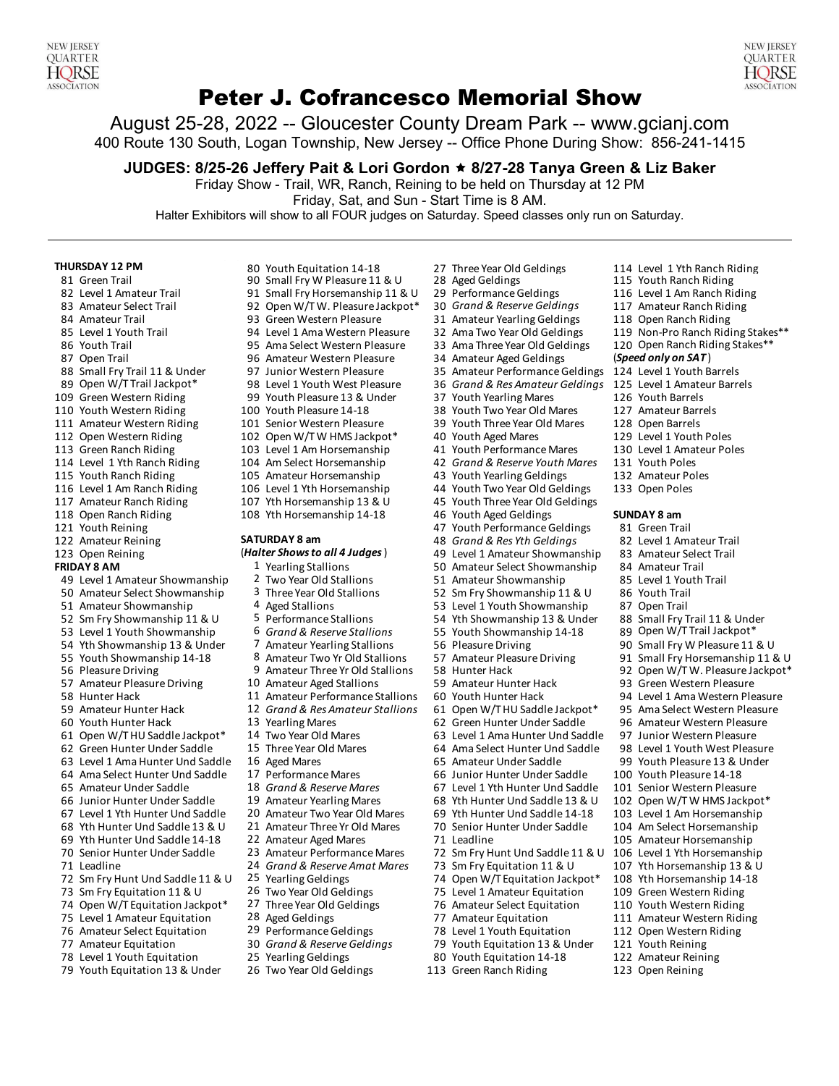#### NFW **IFRSEY QUARTER HORSE ASSOCIATION**

# Peter J. Cofrancesco Memorial Show

August 25-28, 2022 -- Gloucester County Dream Park -- www.gcianj.com 400 Route 130 South, Logan Township, New Jersey -- Office Phone During Show: 856-241-1415

**JUDGES: 8/25-26 Jeffery Pait & Lori Gordon** ê **8/27-28 Tanya Green & Liz Baker**

Friday Show - Trail, WR, Ranch, Reining to be held on Thursday at 12 PM

82 Ama Two Year Old Geldings 119 Non-Pro Ranch Riding Stakes\*\*<br>13 Ama Three Year Old Geldings 120 Open Ranch Riding Stakes\*\*

92 Open W/T W. Pleasure Jackpot\*

100 Youth Two Year Old Mares

43 Youth Yearling Geldings

80 Youth Equitation 14-18

Friday, Sat, and Sun - Start Time is 8 AM.

Halter Exhibitors will show to all FOUR judges on Saturday. Speed classes only run on Saturday.

#### **THURSDAY 12 PM** 80 Youth Equitation 14-18 27 Three Year Old Geldings 114 Level 1 Yth Ranch Riding

- 
- 
- 83 Amateur Select Trail 92 Open W/T W. Pleasure Jackpot\* 30 *Grand & Reserve Geldings* 117 Amateur Ranch Riding
- 
- 
- 
- 
- 88 Small Fry Trail 11 & Under 97 Junior Western Pleasure 35 Amateur Performance Geldings 124 Level 1 Youth Barrels<br>198 Level 1 Amateur Barrels 125 Level 1 Youth West Pleasure 36 Grand & Res Amateur Geldings 125 Level 1 Ama
- 89 Open W/T Trail Jackpot \* 98 Level 1 Youth West Pleasure 36 *Grand & Res Amateur Geldings* 125 Level 1 Amate<br>109 Green Western Riding 199 Youth Pleasure 13 & Under 37 Youth Yearling Mares 126 Youth Barrels
- 
- 
- 
- 
- 
- 114 Level 1 Yth Ranch Riding 104 Am Select Horsemanship 42 *Grand & Reserve Youth Mares* 131 Youth Poles
- 
- 
- 117 Amateur Ranch Riding 107 Yth Horsemanship 13 & U 45 Youth Three Year Old Geldings<br>118 Open Ranch Riding 108 Yth Horsemanship 14-18 46 Youth Aged Geldings
- 
- 
- 123 Open Reining **(***Halter Shows to all 4 Judges*) 49 Level 1 Amateur Showmanship
- 
- **FRIDAY 8 AM** 1 Yearling Stallions 50 Amateur Select Showmanship 84 Amateur Trail<br>1 Two Year Old Stallions 51 Amateur Showmanship 85 Level 1 Youth Trail 49 Level 1 Amateur Showmanship 2 Two Year Old Stallions 51 Amateur Showmanship 85 Level 1 Youth Trail<br>52 Amateur Select Showmanship 3 Three Year Old Stallions 52 Sm Fry Showmanship 11 & U 86 Youth Trail
- 50 Amateur Select Showmanship 3 Three Year Old Stallions 52 Sm Fry Showmanship 11 & U
- 
- 51 Amateur Showmanship 4 Aged Stallions 53 Level 1 Youth Showmanship 87 Open Trail<br>52 Sm Fry Showmanship 11 & U 5 Performance Stallions 54 Yth Showmanship 13 & Under 88 Small Fry T 52 Sm Fry Showmanship 11 & U 5 Performance Stallions 54 Yth Showmanship 13 & Under 88 Small Fry Trail 11 & Under<br>19 Sa Level 1 Youth Showmanship 6 Grand & Reserve Stallions 55 Youth Showmanship 14-18 89 Open W/T Trail Jack
- 53 Level 1 Youth Showmanship 6 *Grand & Reserve Stallions* 55
- 54 Yth Showmanship 13 & Under 7 Amateur Yearling Stallions 56 Pleasure Driving 90 Small Fry W Pleasure 11 & U<br>55 Youth Showmanship 14.18 8 Amateur Two Vr Old Stallions 57 Amateur Pleasure Driving 91 Small Fry Horsemanship
- 
- 
- 57 Amateur Pleasure Driving 10 Amateur Aged Stallions 59 Amateur Hunter Hack 59 Amateur Pleasure<br>11 Amateur Performance Stallions 60 Youth Hunter Hack 58 Hunter Hack 58 Hunter Hack 58 Hunter Hack
- 
- 
- 60 Youth Hunter Hack 13 Yearling Mares 62 Green Hunter Under Saddle 96 Amateur Western Pleasure<br>61 Open W/THU Saddle Jackpot \* 14 Two Year Old Mares 63 Level 1 Ama Hunter Und Saddle 97 Junior Western Pleasure
- 61 Open W/THU Saddle Jackpot\*
- 62 Green Hunter Under Saddle 15 Three Year Old Mares 64 Ama Select Hunter Und Saddle 98 Level 1 Youth West Pleasure
- 63 Level 1 Ama Hunter Und Saddle 16 Aged Mares 65 Amateur Under Saddle 51 Movember 99 Youth Pleasure 13 & Under<br>64 Ama Select Hunter Und Saddle 17 Performance Mares 66 Junior Hunter Under Saddle 100 Youth Pleasure 14-18
- 64 Ama Select Hunter Und Saddle
- 
- 65 Amateur Under Saddle 18 *Grand & Reserve Mares* 67 Level 1 Yth Hunter Und Saddle 101 Senior Western Pleasure 66 Junior Hunter Under Saddle 19 Amateur Yearling Mares 68 Yth Hunter Und Saddle 13 & U 102 Open W/T W HMS Jackpot\*<br>67 Level 1 Yth Hunter Und Saddle 20 Amateur Two Year Old Mares 69 Yth Hunter Und Saddle 14-18 103 Level 1
- 67 Level 1 Yth Hunter Und Saddle
- 68 Yth Hunter Und Saddle 13 & U 21 Amateur Three Yr Old Mares 70 Senior Hunter Under Saddle 104 Am Select Horsemanship
- 69 Yth Hunter Und Saddle 14-18 22 Amateur Aged Mares 71 Leadline 105 Amateur Horsemanship<br>10 Senior Hunter Under Saddle 23 Amateur Performance Mares 72 Sm Fry Hunt Und Saddle 11 & U 106 Level 1 Yth Horsemanshi
- 70 Senior Hunter Under Saddle 23 Amateur Performance Mares 72 Sm Fry Hunt Und Saddle 11 & U 106 Level 1 Yth Horsemanship<br>13 Leadline 107 Yth Horsemanship 13 & U 107 Yth Horsemanship 13 & U
- 
- 71 Leadline 24 *Grand & Reserve Amat Mares* 73 Sm Fry Equitation 11 & U 107 Yth Horsemanship 13 & U 72 Sm Fry Hunt Und Saddle 11 & U 25 Yearling Geldings 74 Open W/T Equitation Jackpot \* 108 Yth Horsemanship 14-18<br>73 Sm Fry Equitation 11 & U 26 Two Year Old Geldings 75 Level 1 Amateur Equitation 109 Green Western Riding
- 73 Sm Fry Equitation 11 & U 26 Two Year Old Geldings 75 Level 1 Amateur Equitation 109 Green Western Riding
- 74 Open W/T Equitation Jackpot\* 27 Three Year Old Geldings 76 Amateur Select Equitation 110 Youth Western Riding
- 75 Level 1 Amateur Equitation 28 Aged Geldings 77 Amateur Equitation 111 Amateur Western Riding<br>76 Amateur Select Equitation 29 Performance Geldings 78 Level 1 Youth Equitation 112 Open Western Riding
- 76 Amateur Select Equitation
- 77 Amateur Equitation 30 *Grand & Reserve Geldings* 79 Youth Equitation 13 & Under 121 Youth Reining
- 
- 79 Youth Equitation 13 & Under 26 Two Year Old Geldings 113 Green Ranch Riding 123 Open Reining
- 
- 81 Green Trail 15 Youth Ranch Riding 90 Small Fry W Pleasure 11 & U 28 Aged Geldings 115 Youth Ranch Riding 11<br>82 Level 1 Amateur Trail 16 1 91 Small Fry Horsemanship 11 & U 29 Performance Geldings 116 Level 1 Am Ranch Rid 91 Small Fry Horsemanship 11 & U
	-
	-
- 84 Amateur Trail 93 Green Western Pleasure 31 Amateur Yearling Geldings 118 Open Ranch Riding
	-
- 86 Youth Trail 195 Ama Select Western Pleasure 33 Ama Three Year Old Geldings 120 Open Ranch Riding 87 Open Ranch Riding States: 120 Open Ranch Riding States: 120 Open Ranch Riding States: 187 Open Ranch Riding States: 196
- 87 Open Trail 96 Amateur Western Pleasure 34 Amateur Aged Geldings (*Speed only on SAT* )
	-
	-
- 109 Green Western Riding 99 Youth Pleasure 13 & Under 37 Youth Yearling Mares 126 Youth Barrels
	-
- 111 Amateur Western Riding 101 Senior Western Pleasure 39 Youth Three Year Old Mares 128 Open Barrels<br>112 Open Western Riding 102 Open W/TW HMS Jackpot\* 40 Youth Aged Mares 129 Level 1 Youth Poles
- 112 Open Western Riding 102 Open W/T W HMS Jackpot\* 40 Youth Aged Mares 113 Green Ranch Riding 103 Level 1 Am Horsemanship 41 Youth Performanc 103 Level 1 Am Horsemanship 41 Youth Performance Mares 130 Level 1 Amateur Poles
	-
	-
- 116 Level 1 Am Ranch Riding 106 Level 1 Yth Horsemanship 44 Youth Two Year Old Geldings 133 Open Poles
	-
	- 108 Yth Horsemanship 14-18 46 Youth Aged Geldings **SUNDAY 8 am**
- 121 Youth Reining 121 Youth Performance Geldings 81 Green Trail<br>122 Amateur Reining **47 SATURDAY 8 am** 48 Grand & Res Yth Geldings 82 Level 1 Amateur Trail

## 122 Amateur Reining **SATURDAY 8 am** 48 *Grand & Res Yth Geldings* 82 Level 1 Amateur Trail

- 
- 
- 
- 
- 
- 
- 
- 
- 55 Youth Showmanship 14-18 8 Amateur Two Yr Old Stallions 57 Amateur Pleasure Driving 91 Small Fry Horsemanship 11 & U<br>\*56 Pleasure Driving 92 Open W/T W. Pleasure Jackpot
	-
	- 11 Amateur Performance Stallions 60
- 59 Amateur Hunter Hack 12 *Grand & Res Amateur Stallions* 61 Open W/T HU Saddle Jackpot\* 95 Ama Select Western Pleasure
	-
	-
	-
	-
	-